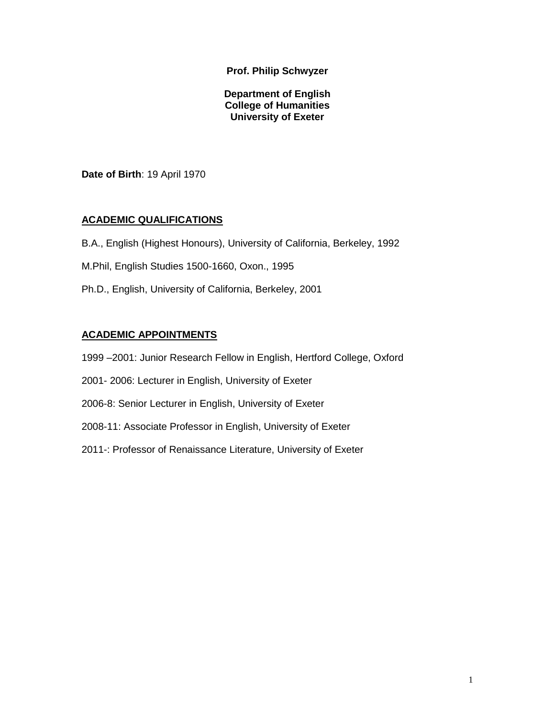**Prof. Philip Schwyzer**

## **Department of English College of Humanities University of Exeter**

**Date of Birth**: 19 April 1970

## **ACADEMIC QUALIFICATIONS**

- B.A., English (Highest Honours), University of California, Berkeley, 1992 M.Phil, English Studies 1500-1660, Oxon., 1995
- Ph.D., English, University of California, Berkeley, 2001

## **ACADEMIC APPOINTMENTS**

- 1999 –2001: Junior Research Fellow in English, Hertford College, Oxford
- 2001- 2006: Lecturer in English, University of Exeter
- 2006-8: Senior Lecturer in English, University of Exeter
- 2008-11: Associate Professor in English, University of Exeter
- 2011-: Professor of Renaissance Literature, University of Exeter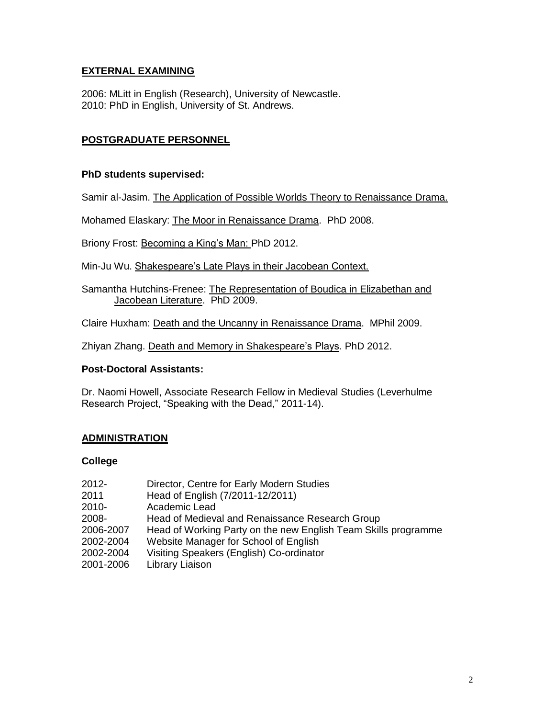# **EXTERNAL EXAMINING**

2006: MLitt in English (Research), University of Newcastle. 2010: PhD in English, University of St. Andrews.

## **POSTGRADUATE PERSONNEL**

### **PhD students supervised:**

Samir al-Jasim. The Application of Possible Worlds Theory to Renaissance Drama.

Mohamed Elaskary: The Moor in Renaissance Drama. PhD 2008.

Briony Frost: Becoming a King's Man: PhD 2012.

Min-Ju Wu. Shakespeare's Late Plays in their Jacobean Context.

Samantha Hutchins-Frenee: The Representation of Boudica in Elizabethan and Jacobean Literature. PhD 2009.

Claire Huxham: Death and the Uncanny in Renaissance Drama. MPhil 2009.

Zhiyan Zhang. Death and Memory in Shakespeare's Plays. PhD 2012.

## **Post-Doctoral Assistants:**

Dr. Naomi Howell, Associate Research Fellow in Medieval Studies (Leverhulme Research Project, "Speaking with the Dead," 2011-14).

## **ADMINISTRATION**

#### **College**

- 2012- Director, Centre for Early Modern Studies
- 2011 Head of English (7/2011-12/2011)
- 2010- Academic Lead
- 2008- Head of Medieval and Renaissance Research Group
- 2006-2007 Head of Working Party on the new English Team Skills programme
- 2002-2004 Website Manager for School of English
- 2002-2004 Visiting Speakers (English) Co-ordinator
- 2001-2006 Library Liaison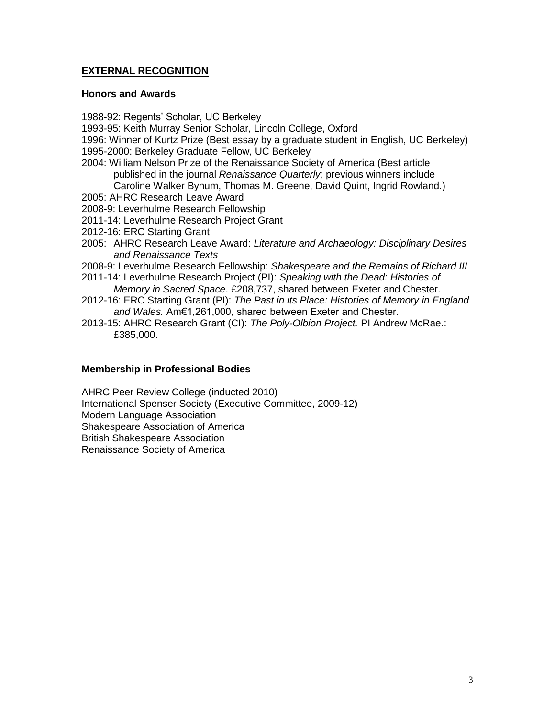# **EXTERNAL RECOGNITION**

#### **Honors and Awards**

- 1988-92: Regents' Scholar, UC Berkeley
- 1993-95: Keith Murray Senior Scholar, Lincoln College, Oxford
- 1996: Winner of Kurtz Prize (Best essay by a graduate student in English, UC Berkeley) 1995-2000: Berkeley Graduate Fellow, UC Berkeley
- 2004: William Nelson Prize of the Renaissance Society of America (Best article published in the journal *Renaissance Quarterly*; previous winners include Caroline Walker Bynum, Thomas M. Greene, David Quint, Ingrid Rowland.)
- 2005: AHRC Research Leave Award
- 2008-9: Leverhulme Research Fellowship
- 2011-14: Leverhulme Research Project Grant
- 2012-16: ERC Starting Grant
- 2005: AHRC Research Leave Award: *Literature and Archaeology: Disciplinary Desires and Renaissance Texts*
- 2008-9: Leverhulme Research Fellowship: *Shakespeare and the Remains of Richard III*
- 2011-14: Leverhulme Research Project (PI): *Speaking with the Dead: Histories of Memory in Sacred Space*. £208,737, shared between Exeter and Chester.
- 2012-16: ERC Starting Grant (PI): *The Past in its Place: Histories of Memory in England and Wales.* Am€1,261,000, shared between Exeter and Chester.
- 2013-15: AHRC Research Grant (CI): *The Poly-Olbion Project.* PI Andrew McRae.: £385,000.

## **Membership in Professional Bodies**

AHRC Peer Review College (inducted 2010) International Spenser Society (Executive Committee, 2009-12) Modern Language Association Shakespeare Association of America British Shakespeare Association Renaissance Society of America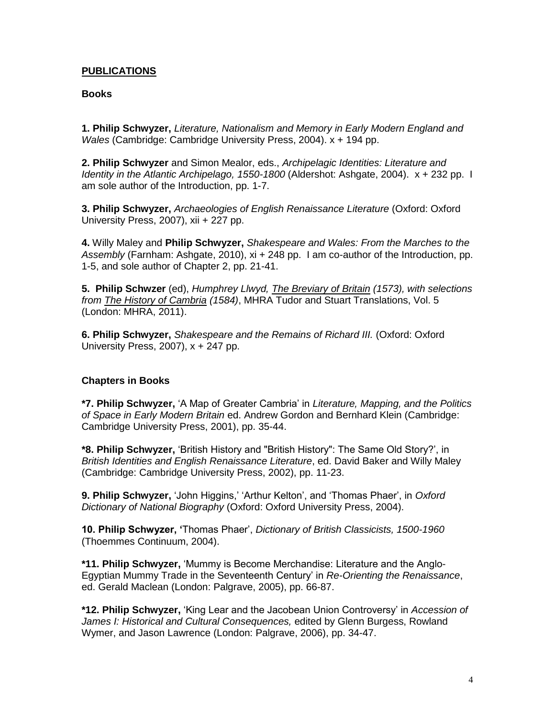## **PUBLICATIONS**

### **Books**

**1. Philip Schwyzer,** *Literature, Nationalism and Memory in Early Modern England and Wales* (Cambridge: Cambridge University Press, 2004). x + 194 pp.

**2. Philip Schwyzer** and Simon Mealor, eds., *Archipelagic Identities: Literature and Identity in the Atlantic Archipelago, 1550-1800* (Aldershot: Ashgate, 2004). x + 232 pp. I am sole author of the Introduction, pp. 1-7.

**3. Philip Schwyzer,** *Archaeologies of English Renaissance Literature* (Oxford: Oxford University Press, 2007), xii + 227 pp.

**4.** Willy Maley and **Philip Schwyzer,** *Shakespeare and Wales: From the Marches to the Assembly* (Farnham: Ashgate, 2010), xi + 248 pp. I am co-author of the Introduction, pp. 1-5, and sole author of Chapter 2, pp. 21-41.

**5. Philip Schwzer** (ed), *Humphrey Llwyd, The Breviary of Britain (1573), with selections from The History of Cambria (1584)*, MHRA Tudor and Stuart Translations, Vol. 5 (London: MHRA, 2011).

**6. Philip Schwyzer,** *Shakespeare and the Remains of Richard III.* (Oxford: Oxford University Press, 2007),  $x + 247$  pp.

## **Chapters in Books**

**\*7. Philip Schwyzer,** 'A Map of Greater Cambria' in *Literature, Mapping, and the Politics of Space in Early Modern Britain* ed. Andrew Gordon and Bernhard Klein (Cambridge: Cambridge University Press, 2001), pp. 35-44.

**\*8. Philip Schwyzer,** 'British History and "British History": The Same Old Story?', in *British Identities and English Renaissance Literature*, ed. David Baker and Willy Maley (Cambridge: Cambridge University Press, 2002), pp. 11-23.

**9. Philip Schwyzer,** 'John Higgins,' 'Arthur Kelton', and 'Thomas Phaer', in *Oxford Dictionary of National Biography* (Oxford: Oxford University Press, 2004).

**10. Philip Schwyzer, '**Thomas Phaer', *Dictionary of British Classicists, 1500-1960*  (Thoemmes Continuum, 2004).

**\*11. Philip Schwyzer,** 'Mummy is Become Merchandise: Literature and the Anglo-Egyptian Mummy Trade in the Seventeenth Century' in *Re-Orienting the Renaissance*, ed. Gerald Maclean (London: Palgrave, 2005), pp. 66-87.

**\*12. Philip Schwyzer,** 'King Lear and the Jacobean Union Controversy' in *Accession of James I: Historical and Cultural Consequences,* edited by Glenn Burgess, Rowland Wymer, and Jason Lawrence (London: Palgrave, 2006), pp. 34-47.